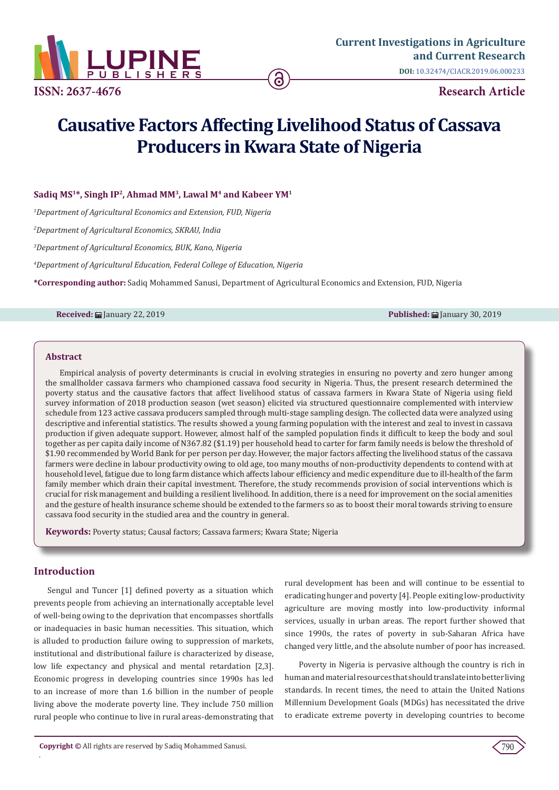

# **Causative Factors Affecting Livelihood Status of Cassava Producers in Kwara State of Nigeria**

# Sadiq MS<sup>1\*</sup>, Singh IP<sup>2</sup>, Ahmad MM<sup>3</sup>, Lawal M<sup>4</sup> and Kabeer YM<sup>1</sup>

*1 Department of Agricultural Economics and Extension, FUD, Nigeria* 

*2 Department of Agricultural Economics, SKRAU, India* 

*3 Department of Agricultural Economics, BUK, Kano, Nigeria*

*4 Department of Agricultural Education, Federal College of Education, Nigeria*

**\*Corresponding author:** Sadiq Mohammed Sanusi, Department of Agricultural Economics and Extension, FUD, Nigeria

**Received:** January 22, 2019 **Published:** January 30, 2019

### **Abstract**

Empirical analysis of poverty determinants is crucial in evolving strategies in ensuring no poverty and zero hunger among the smallholder cassava farmers who championed cassava food security in Nigeria. Thus, the present research determined the poverty status and the causative factors that affect livelihood status of cassava farmers in Kwara State of Nigeria using field survey information of 2018 production season (wet season) elicited via structured questionnaire complemented with interview schedule from 123 active cassava producers sampled through multi-stage sampling design. The collected data were analyzed using descriptive and inferential statistics. The results showed a young farming population with the interest and zeal to invest in cassava production if given adequate support. However, almost half of the sampled population finds it difficult to keep the body and soul together as per capita daily income of N367.82 (\$1.19) per household head to carter for farm family needs is below the threshold of \$1.90 recommended by World Bank for per person per day. However, the major factors affecting the livelihood status of the cassava farmers were decline in labour productivity owing to old age, too many mouths of non-productivity dependents to contend with at household level, fatigue due to long farm distance which affects labour efficiency and medic expenditure due to ill-health of the farm family member which drain their capital investment. Therefore, the study recommends provision of social interventions which is crucial for risk management and building a resilient livelihood. In addition, there is a need for improvement on the social amenities and the gesture of health insurance scheme should be extended to the farmers so as to boost their moral towards striving to ensure cassava food security in the studied area and the country in general.

**Keywords:** Poverty status; Causal factors; Cassava farmers; Kwara State; Nigeria

## **Introduction**

.

Sengul and Tuncer [1] defined poverty as a situation which prevents people from achieving an internationally acceptable level of well-being owing to the deprivation that encompasses shortfalls or inadequacies in basic human necessities. This situation, which is alluded to production failure owing to suppression of markets, institutional and distributional failure is characterized by disease, low life expectancy and physical and mental retardation [2,3]. Economic progress in developing countries since 1990s has led to an increase of more than 1.6 billion in the number of people living above the moderate poverty line. They include 750 million rural people who continue to live in rural areas-demonstrating that rural development has been and will continue to be essential to eradicating hunger and poverty [4]. People exiting low-productivity agriculture are moving mostly into low-productivity informal services, usually in urban areas. The report further showed that since 1990s, the rates of poverty in sub-Saharan Africa have changed very little, and the absolute number of poor has increased.

Poverty in Nigeria is pervasive although the country is rich in human and material resources that should translate into better living standards. In recent times, the need to attain the United Nations Millennium Development Goals (MDGs) has necessitated the drive to eradicate extreme poverty in developing countries to become

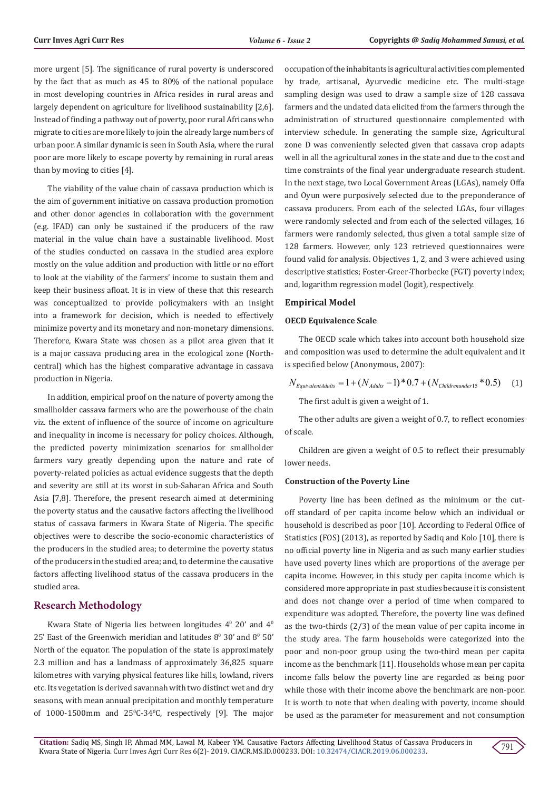more urgent [5]. The significance of rural poverty is underscored by the fact that as much as 45 to 80% of the national populace in most developing countries in Africa resides in rural areas and largely dependent on agriculture for livelihood sustainability [2,6]. Instead of finding a pathway out of poverty, poor rural Africans who migrate to cities are more likely to join the already large numbers of urban poor. A similar dynamic is seen in South Asia, where the rural poor are more likely to escape poverty by remaining in rural areas than by moving to cities [4].

The viability of the value chain of cassava production which is the aim of government initiative on cassava production promotion and other donor agencies in collaboration with the government (e.g. IFAD) can only be sustained if the producers of the raw material in the value chain have a sustainable livelihood. Most of the studies conducted on cassava in the studied area explore mostly on the value addition and production with little or no effort to look at the viability of the farmers' income to sustain them and keep their business afloat. It is in view of these that this research was conceptualized to provide policymakers with an insight into a framework for decision, which is needed to effectively minimize poverty and its monetary and non-monetary dimensions. Therefore, Kwara State was chosen as a pilot area given that it is a major cassava producing area in the ecological zone (Northcentral) which has the highest comparative advantage in cassava production in Nigeria.

In addition, empirical proof on the nature of poverty among the smallholder cassava farmers who are the powerhouse of the chain viz. the extent of influence of the source of income on agriculture and inequality in income is necessary for policy choices. Although, the predicted poverty minimization scenarios for smallholder farmers vary greatly depending upon the nature and rate of poverty-related policies as actual evidence suggests that the depth and severity are still at its worst in sub-Saharan Africa and South Asia [7,8]. Therefore, the present research aimed at determining the poverty status and the causative factors affecting the livelihood status of cassava farmers in Kwara State of Nigeria. The specific objectives were to describe the socio-economic characteristics of the producers in the studied area; to determine the poverty status of the producers in the studied area; and, to determine the causative factors affecting livelihood status of the cassava producers in the studied area.

# **Research Methodology**

Kwara State of Nigeria lies between longitudes  $4^{\circ}$  20' and  $4^{\circ}$ 25' East of the Greenwich meridian and latitudes  $8^{\circ}$  30' and  $8^{\circ}$  50' North of the equator. The population of the state is approximately 2.3 million and has a landmass of approximately 36,825 square kilometres with varying physical features like hills, lowland, rivers etc. Its vegetation is derived savannah with two distinct wet and dry seasons, with mean annual precipitation and monthly temperature of  $1000-1500$ mm and  $25^{\circ}$ C $-34^{\circ}$ C, respectively [9]. The major occupation of the inhabitants is agricultural activities complemented by trade, artisanal, Ayurvedic medicine etc. The multi-stage sampling design was used to draw a sample size of 128 cassava farmers and the undated data elicited from the farmers through the administration of structured questionnaire complemented with interview schedule. In generating the sample size, Agricultural zone D was conveniently selected given that cassava crop adapts well in all the agricultural zones in the state and due to the cost and time constraints of the final year undergraduate research student. In the next stage, two Local Government Areas (LGAs), namely Offa and Oyun were purposively selected due to the preponderance of cassava producers. From each of the selected LGAs, four villages were randomly selected and from each of the selected villages, 16 farmers were randomly selected, thus given a total sample size of 128 farmers. However, only 123 retrieved questionnaires were found valid for analysis. Objectives 1, 2, and 3 were achieved using descriptive statistics; Foster-Greer-Thorbecke (FGT) poverty index; and, logarithm regression model (logit), respectively.

#### **Empirical Model**

#### **OECD Equivalence Scale**

The OECD scale which takes into account both household size and composition was used to determine the adult equivalent and it is specified below (Anonymous, 2007):

$$
N_{EquivalentAdulus} = 1 + (N_{Adulus} - 1) * 0.7 + (N_{Childrenunder15} * 0.5) \tag{1}
$$

The first adult is given a weight of 1.

The other adults are given a weight of 0.7, to reflect economies of scale.

Children are given a weight of 0.5 to reflect their presumably lower needs.

#### **Construction of the Poverty Line**

Poverty line has been defined as the minimum or the cutoff standard of per capita income below which an individual or household is described as poor [10]. According to Federal Office of Statistics (FOS) (2013), as reported by Sadiq and Kolo [10], there is no official poverty line in Nigeria and as such many earlier studies have used poverty lines which are proportions of the average per capita income. However, in this study per capita income which is considered more appropriate in past studies because it is consistent and does not change over a period of time when compared to expenditure was adopted. Therefore, the poverty line was defined as the two-thirds (2/3) of the mean value of per capita income in the study area. The farm households were categorized into the poor and non-poor group using the two-third mean per capita income as the benchmark [11]. Households whose mean per capita income falls below the poverty line are regarded as being poor while those with their income above the benchmark are non-poor. It is worth to note that when dealing with poverty, income should be used as the parameter for measurement and not consumption

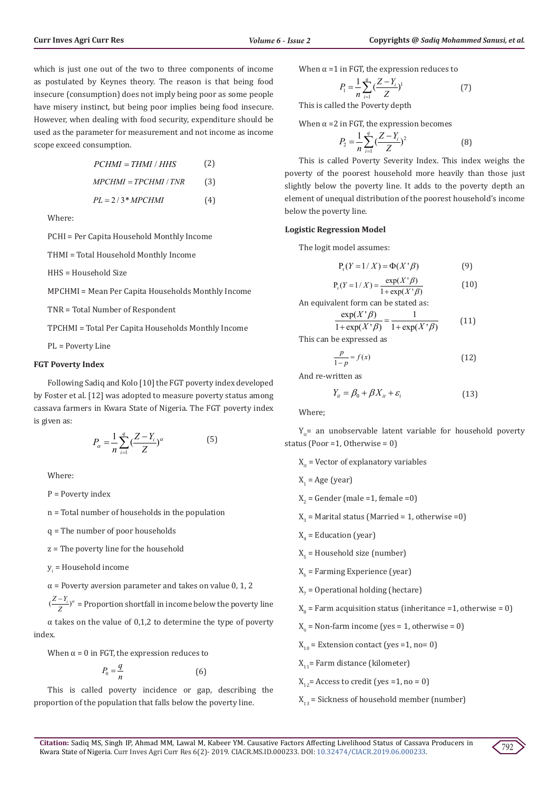which is just one out of the two to three components of income as postulated by Keynes theory. The reason is that being food insecure (consumption) does not imply being poor as some people have misery instinct, but being poor implies being food insecure. However, when dealing with food security, expenditure should be used as the parameter for measurement and not income as income scope exceed consumption.

$$
PCHMI = THMI / HHS
$$
 (2)  
MPCHMI = TPCHMI / TNR (3)  
PL = 2/3\*MPCHMI (4)

Where:

PCHI = Per Capita Household Monthly Income

THMI = Total Household Monthly Income

HHS = Household Size

MPCHMI = Mean Per Capita Households Monthly Income

TNR = Total Number of Respondent

TPCHMI = Total Per Capita Households Monthly Income

PL = Poverty Line

# **FGT Poverty Index**

Following Sadiq and Kolo [10] the FGT poverty index developed by Foster et al. [12] was adopted to measure poverty status among cassava farmers in Kwara State of Nigeria. The FGT poverty index is given as:

$$
P_{\alpha} = \frac{1}{n} \sum_{i=1}^{q} \left( \frac{Z - Y_i}{Z} \right)^{\alpha} \tag{5}
$$

Where:

P = Poverty index

n = Total number of households in the population

q = The number of poor households

z = The poverty line for the household

 $y_i$  = Household income

 $\alpha$  = Poverty aversion parameter and takes on value 0, 1, 2

 $(\frac{Z-Y_i}{Z})^{\alpha}$  = Proportion shortfall in income below the poverty line

 $\alpha$  takes on the value of 0,1,2 to determine the type of poverty index.

When  $\alpha$  = 0 in FGT, the expression reduces to

$$
P_0 = \frac{q}{n} \tag{6}
$$

This is called poverty incidence or gap, describing the proportion of the population that falls below the poverty line.

When 
$$
\alpha = 1
$$
 in FGT, the expression reduces to

$$
P_1 = \frac{1}{n} \sum_{i=1}^{q} \left( \frac{Z - Y_i}{Z} \right)^1
$$
 (7)

This is called the Poverty depth

When  $\alpha$  =2 in FGT, the expression becomes

$$
P_2 = \frac{1}{n} \sum_{i=1}^{q} \left(\frac{Z - Y_i}{Z}\right)^2
$$
 (8)

This is called Poverty Severity Index. This index weighs the poverty of the poorest household more heavily than those just slightly below the poverty line. It adds to the poverty depth an element of unequal distribution of the poorest household's income below the poverty line.

#### **Logistic Regression Model**

The logit model assumes:

$$
P_r(Y=1/X) = \Phi(X^{\dagger}\beta)
$$
 (9)

$$
P_r(Y=1/X) = \frac{\exp(X^r \beta)}{1 + \exp(X^r \beta)}
$$
(10)

An equivalent form can be stated as:

$$
\frac{\exp(X^{\prime}\beta)}{1+\exp(X^{\prime}\beta)} = \frac{1}{1+\exp(X^{\prime}\beta)}\tag{11}
$$

This can be expressed as

$$
\frac{p}{1-p} = f(x) \tag{12}
$$

And re-written as

$$
Y_{it} = \beta_0 + \beta X_{it} + \varepsilon_i \tag{13}
$$

Where;

 $Y_i$ = an unobservable latent variable for household poverty status (Poor =1, Otherwise = 0)

 $X_{i}$  = Vector of explanatory variables

 $X_1$  = Age (year)

 $X_2$  = Gender (male =1, female =0)

 $X_3$  = Marital status (Married = 1, otherwise =0)

 $X_4$  = Education (year)

 $X_5$  = Household size (number)

- $X_6$  = Farming Experience (year)
- $X_7$  = Operational holding (hectare)
- $X_{8}$  = Farm acquisition status (inheritance =1, otherwise = 0)

 $X_{9}$  = Non-farm income (yes = 1, otherwise = 0)

 $X_{10}$  = Extension contact (yes =1, no= 0)

 $X_{11}$ = Farm distance (kilometer)

 $X_{12}$ = Access to credit (yes =1, no = 0)

 $X_{13}$  = Sickness of household member (number)

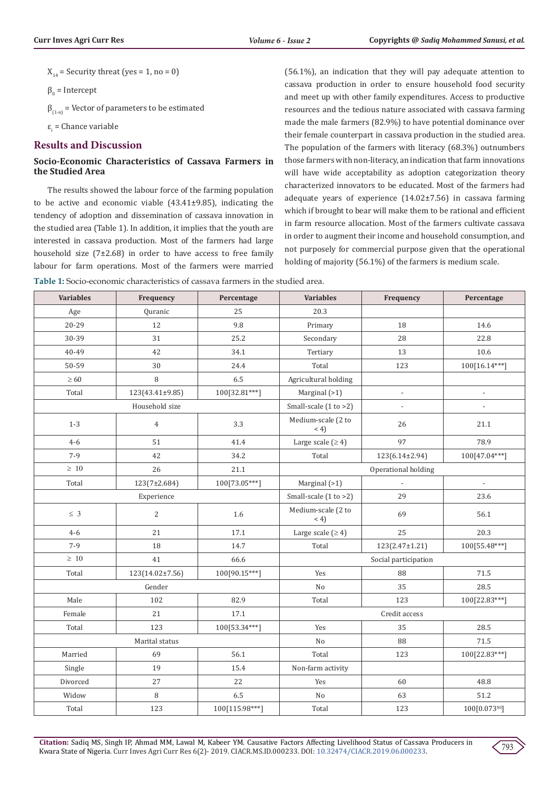$X_{14}$  = Security threat (yes = 1, no = 0)

 $\beta_0$  = Intercept

 $\beta_{(1,n)}$  = Vector of parameters to be estimated

 $\varepsilon_{\text{i}}$  = Chance variable

# **Results and Discussion**

# **Socio-Economic Characteristics of Cassava Farmers in the Studied Area**

The results showed the labour force of the farming population to be active and economic viable (43.41±9.85), indicating the tendency of adoption and dissemination of cassava innovation in the studied area (Table 1). In addition, it implies that the youth are interested in cassava production. Most of the farmers had large household size (7±2.68) in order to have access to free family labour for farm operations. Most of the farmers were married (56.1%), an indication that they will pay adequate attention to cassava production in order to ensure household food security and meet up with other family expenditures. Access to productive resources and the tedious nature associated with cassava farming made the male farmers (82.9%) to have potential dominance over their female counterpart in cassava production in the studied area. The population of the farmers with literacy (68.3%) outnumbers those farmers with non-literacy, an indication that farm innovations will have wide acceptability as adoption categorization theory characterized innovators to be educated. Most of the farmers had adequate years of experience (14.02±7.56) in cassava farming which if brought to bear will make them to be rational and efficient in farm resource allocation. Most of the farmers cultivate cassava in order to augment their income and household consumption, and not purposely for commercial purpose given that the operational holding of majority (56.1%) of the farmers is medium scale.

**Table 1:** Socio-economic characteristics of cassava farmers in the studied area.

| <b>Variables</b> | Frequency       | Percentage     | <b>Variables</b>          | Frequency                | Percentage                |
|------------------|-----------------|----------------|---------------------------|--------------------------|---------------------------|
| Age              | Quranic         | 25             | 20.3                      |                          |                           |
| 20-29            | 12              | 9.8            | Primary                   | 18                       | 14.6                      |
| 30-39            | 31              | 25.2           | Secondary                 | 28                       | 22.8                      |
| 40-49            | 42              | 34.1           | Tertiary                  | 13                       | 10.6                      |
| 50-59            | 30              | 24.4           | Total                     | 123                      | 100[16.14***]             |
| $\geq 60$        | 8               | 6.5            | Agricultural holding      |                          |                           |
| Total            | 123(43.41±9.85) | 100[32.81***]  | Marginal (>1)             | $\overline{a}$           | $\frac{1}{2}$             |
|                  | Household size  |                | Small-scale $(1 to >2)$   | $\overline{\phantom{a}}$ | $\overline{\phantom{a}}$  |
| $1 - 3$          | $\overline{4}$  | 3.3            | Medium-scale (2 to<br>(4) | 26                       | 21.1                      |
| $4 - 6$          | 51              | 41.4           | Large scale $(≥ 4)$       | 97                       | 78.9                      |
| $7-9$            | 42              | 34.2           | Total                     | 123(6.14±2.94)           | 100[47.04***]             |
| $\geq~10$        | 26              | 21.1           | Operational holding       |                          |                           |
| Total            | 123(7±2.684)    | 100[73.05***]  | Marginal (>1)             |                          | $\overline{a}$            |
| Experience       |                 |                | Small-scale (1 to >2)     | 29                       | 23.6                      |
| $\leq 3$         | $\overline{c}$  | 1.6            | Medium-scale (2 to<br>(4) | 69                       | 56.1                      |
| $4 - 6$          | 21              | 17.1           | Large scale $(≥ 4)$       | 25                       | 20.3                      |
| $7-9$            | 18              | 14.7           | Total                     | 123(2.47±1.21)           | 100[55.48***]             |
| $\geq~10$        | 41              | 66.6           | Social participation      |                          |                           |
| Total            | 123(14.02±7.56) | 100[90.15***]  | Yes                       | 88                       | 71.5                      |
| Gender           |                 | N <sub>o</sub> | 35                        | 28.5                     |                           |
| Male             | 102             | 82.9           | Total                     | 123                      | 100[22.83***]             |
| Female           | 21              | 17.1           | Credit access             |                          |                           |
| Total            | 123             | 100[53.34***]  | Yes                       | 35                       | 28.5                      |
| Marital status   |                 |                | $\rm No$                  | 88                       | 71.5                      |
| Married          | 69              | 56.1           | Total                     | 123                      | 100[22.83***]             |
| Single           | 19              | 15.4           | Non-farm activity         |                          |                           |
| Divorced         | 27              | 22             | Yes                       | 60                       | 48.8                      |
| Widow            | 8               | 6.5            | No                        | 63                       | 51.2                      |
| Total            | 123             | 100[115.98***] | Total                     | 123                      | 100[0.073 <sup>NS</sup> ] |

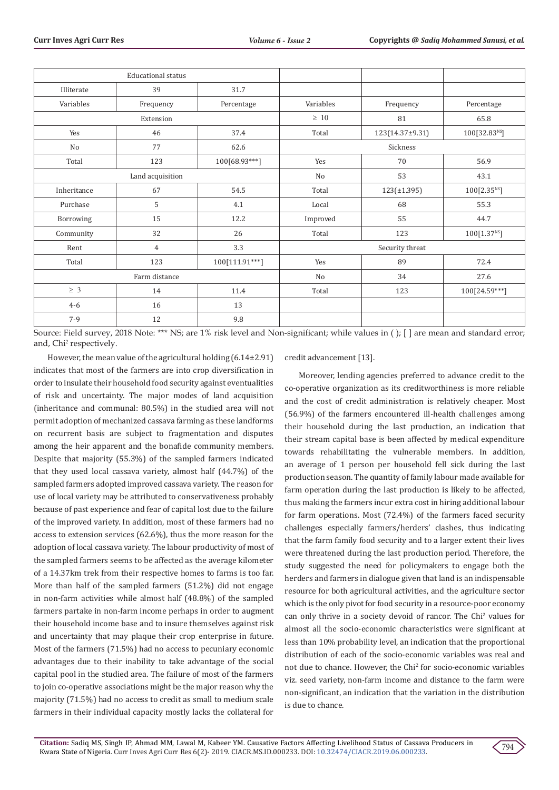| <b>Educational status</b> |                |                |                 |                  |                           |
|---------------------------|----------------|----------------|-----------------|------------------|---------------------------|
| Illiterate                | 39             | 31.7           |                 |                  |                           |
| Variables                 | Frequency      | Percentage     | Variables       | Frequency        | Percentage                |
| Extension                 |                | $\geq 10$      | 81              | 65.8             |                           |
| Yes                       | 46             | 37.4           | Total           | 123(14.37±9.31)  | 100[32.83 <sup>NS</sup> ] |
| No                        | 77             | 62.6           | Sickness        |                  |                           |
| Total                     | 123            | 100[68.93***]  | Yes             | 70               | 56.9                      |
| Land acquisition          |                |                | No              | 53               | 43.1                      |
| Inheritance               | 67             | 54.5           | Total           | $123(\pm 1.395)$ | 100[2.35 <sup>NS</sup> ]  |
| Purchase                  | 5              | 4.1            | Local           | 68               | 55.3                      |
| Borrowing                 | 15             | 12.2           | Improved        | 55               | 44.7                      |
| Community                 | 32             | 26             | Total           | 123              | 100[1.37 <sup>NS</sup> ]  |
| Rent                      | $\overline{4}$ | 3.3            | Security threat |                  |                           |
| Total                     | 123            | 100[111.91***] | Yes             | 89               | 72.4                      |
| Farm distance             |                | No             | 34              | 27.6             |                           |
| $\geq 3$                  | 14             | 11.4           | Total           | 123              | 100[24.59***]             |
| $4 - 6$                   | 16             | 13             |                 |                  |                           |
| $7-9$                     | 12             | 9.8            |                 |                  |                           |

Source: Field survey, 2018 Note: \*\*\* NS; are 1% risk level and Non-significant; while values in ( ); [ ] are mean and standard error; and, Chi<sup>2</sup> respectively.

However, the mean value of the agricultural holding (6.14±2.91) indicates that most of the farmers are into crop diversification in order to insulate their household food security against eventualities of risk and uncertainty. The major modes of land acquisition (inheritance and communal: 80.5%) in the studied area will not permit adoption of mechanized cassava farming as these landforms on recurrent basis are subject to fragmentation and disputes among the heir apparent and the bonafide community members. Despite that majority (55.3%) of the sampled farmers indicated that they used local cassava variety, almost half (44.7%) of the sampled farmers adopted improved cassava variety. The reason for use of local variety may be attributed to conservativeness probably because of past experience and fear of capital lost due to the failure of the improved variety. In addition, most of these farmers had no access to extension services (62.6%), thus the more reason for the adoption of local cassava variety. The labour productivity of most of the sampled farmers seems to be affected as the average kilometer of a 14.37km trek from their respective homes to farms is too far. More than half of the sampled farmers (51.2%) did not engage in non-farm activities while almost half (48.8%) of the sampled farmers partake in non-farm income perhaps in order to augment their household income base and to insure themselves against risk and uncertainty that may plaque their crop enterprise in future. Most of the farmers (71.5%) had no access to pecuniary economic advantages due to their inability to take advantage of the social capital pool in the studied area. The failure of most of the farmers to join co-operative associations might be the major reason why the majority (71.5%) had no access to credit as small to medium scale farmers in their individual capacity mostly lacks the collateral for

credit advancement [13].

Moreover, lending agencies preferred to advance credit to the co-operative organization as its creditworthiness is more reliable and the cost of credit administration is relatively cheaper. Most (56.9%) of the farmers encountered ill-health challenges among their household during the last production, an indication that their stream capital base is been affected by medical expenditure towards rehabilitating the vulnerable members. In addition, an average of 1 person per household fell sick during the last production season. The quantity of family labour made available for farm operation during the last production is likely to be affected, thus making the farmers incur extra cost in hiring additional labour for farm operations. Most (72.4%) of the farmers faced security challenges especially farmers/herders' clashes, thus indicating that the farm family food security and to a larger extent their lives were threatened during the last production period. Therefore, the study suggested the need for policymakers to engage both the herders and farmers in dialogue given that land is an indispensable resource for both agricultural activities, and the agriculture sector which is the only pivot for food security in a resource-poor economy can only thrive in a society devoid of rancor. The Chi<sup>2</sup> values for almost all the socio-economic characteristics were significant at less than 10% probability level, an indication that the proportional distribution of each of the socio-economic variables was real and not due to chance. However, the Chi<sup>2</sup> for socio-economic variables viz. seed variety, non-farm income and distance to the farm were non-significant, an indication that the variation in the distribution is due to chance.

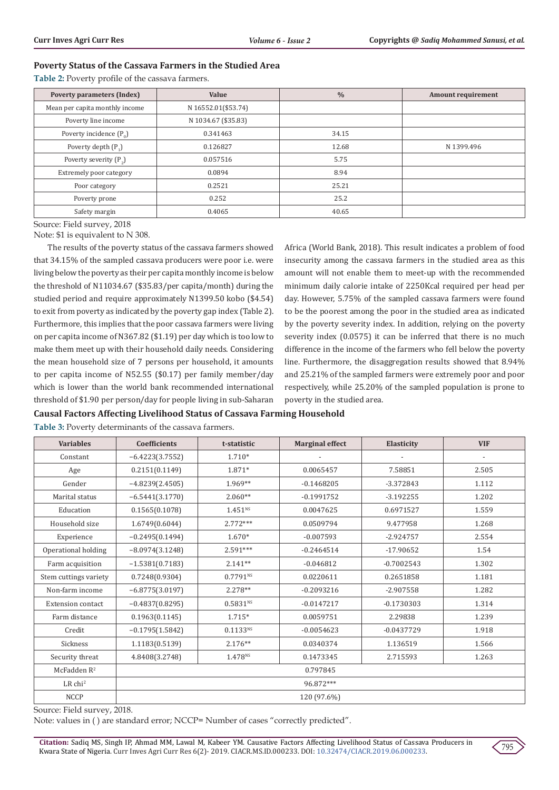#### **Poverty Status of the Cassava Farmers in the Studied Area**

**Table 2:** Poverty profile of the cassava farmers.

| <b>Poverty parameters (Index)</b> | <b>Value</b>        | $\frac{0}{0}$ | <b>Amount requirement</b> |  |
|-----------------------------------|---------------------|---------------|---------------------------|--|
| Mean per capita monthly income    | N 16552.01(\$53.74) |               |                           |  |
| Poverty line income               | N 1034.67 (\$35.83) |               |                           |  |
| Poverty incidence $(P_0)$         | 0.341463            | 34.15         |                           |  |
| Poverty depth $(P_1)$             | 0.126827            | 12.68         | N 1399.496                |  |
| Poverty severity $(P_2)$          | 0.057516            | 5.75          |                           |  |
| Extremely poor category           | 0.0894              | 8.94          |                           |  |
| Poor category                     | 0.2521              | 25.21         |                           |  |
| Poverty prone                     | 0.252               | 25.2          |                           |  |
| Safety margin                     | 0.4065              | 40.65         |                           |  |

Source: Field survey, 2018

Note: \$1 is equivalent to N 308.

The results of the poverty status of the cassava farmers showed that 34.15% of the sampled cassava producers were poor i.e. were living below the poverty as their per capita monthly income is below the threshold of N11034.67 (\$35.83/per capita/month) during the studied period and require approximately N1399.50 kobo (\$4.54) to exit from poverty as indicated by the poverty gap index (Table 2). Furthermore, this implies that the poor cassava farmers were living on per capita income of N367.82 (\$1.19) per day which is too low to make them meet up with their household daily needs. Considering the mean household size of 7 persons per household, it amounts to per capita income of N52.55 (\$0.17) per family member/day which is lower than the world bank recommended international threshold of \$1.90 per person/day for people living in sub-Saharan

Africa (World Bank, 2018). This result indicates a problem of food insecurity among the cassava farmers in the studied area as this amount will not enable them to meet-up with the recommended minimum daily calorie intake of 2250Kcal required per head per day. However, 5.75% of the sampled cassava farmers were found to be the poorest among the poor in the studied area as indicated by the poverty severity index. In addition, relying on the poverty severity index (0.0575) it can be inferred that there is no much difference in the income of the farmers who fell below the poverty line. Furthermore, the disaggregation results showed that 8.94% and 25.21% of the sampled farmers were extremely poor and poor respectively, while 25.20% of the sampled population is prone to poverty in the studied area.

#### **Causal Factors Affecting Livelihood Status of Cassava Farming Household**

**Table 3:** Poverty determinants of the cassava farmers.

| <b>Variables</b>         | <b>Coefficients</b> | t-statistic         | <b>Marginal effect</b> | Elasticity   | <b>VIF</b> |
|--------------------------|---------------------|---------------------|------------------------|--------------|------------|
| Constant                 | $-6.4223(3.7552)$   | 1.710*              |                        |              |            |
| Age                      | 0.2151(0.1149)      | 1.871*              | 0.0065457              | 7.58851      | 2.505      |
| Gender                   | $-4.8239(2.4505)$   | 1.969**             | $-0.1468205$           | $-3.372843$  | 1.112      |
| Marital status           | $-6.5441(3.1770)$   | $2.060**$           | $-0.1991752$           | $-3.192255$  | 1.202      |
| Education                | 0.1565(0.1078)      | $1.451^{NS}$        | 0.0047625              | 0.6971527    | 1.559      |
| Household size           | 1.6749(0.6044)      | $2.772***$          | 0.0509794              | 9.477958     | 1.268      |
| Experience               | $-0.2495(0.1494)$   | $1.670*$            | $-0.007593$            | $-2.924757$  | 2.554      |
| Operational holding      | $-8.0974(3.1248)$   | $2.591***$          | $-0.2464514$           | $-17.90652$  | 1.54       |
| Farm acquisition         | $-1.5381(0.7183)$   | $2.141**$           | $-0.046812$            | $-0.7002543$ | 1.302      |
| Stem cuttings variety    | 0.7248(0.9304)      | 0.7791N             | 0.0220611              | 0.2651858    | 1.181      |
| Non-farm income          | $-6.8775(3.0197)$   | $2.278**$           | $-0.2093216$           | $-2.907558$  | 1.282      |
| <b>Extension contact</b> | $-0.4837(0.8295)$   | $0.5831^{NS}$       | $-0.0147217$           | $-0.1730303$ | 1.314      |
| Farm distance            | 0.1963(0.1145)      | 1.715*              | 0.0059751              | 2.29838      | 1.239      |
| Credit                   | $-0.1795(1.5842)$   | $0.1133^{NS}$       | $-0.0054623$           | $-0.0437729$ | 1.918      |
| Sickness                 | 1.1183(0.5139)      | $2.176**$           | 0.0340374              | 1.136519     | 1.566      |
| Security threat          | 4.8408(3.2748)      | 1.478 <sup>NS</sup> | 0.1473345              | 2.715593     | 1.263      |
| McFadden $R^2$           | 0.797845            |                     |                        |              |            |
| $LR$ chi <sup>2</sup>    | 96.872***           |                     |                        |              |            |
| <b>NCCP</b>              | 120 (97.6%)         |                     |                        |              |            |

Source: Field survey, 2018.

Note: values in ( ) are standard error; NCCP= Number of cases "correctly predicted".

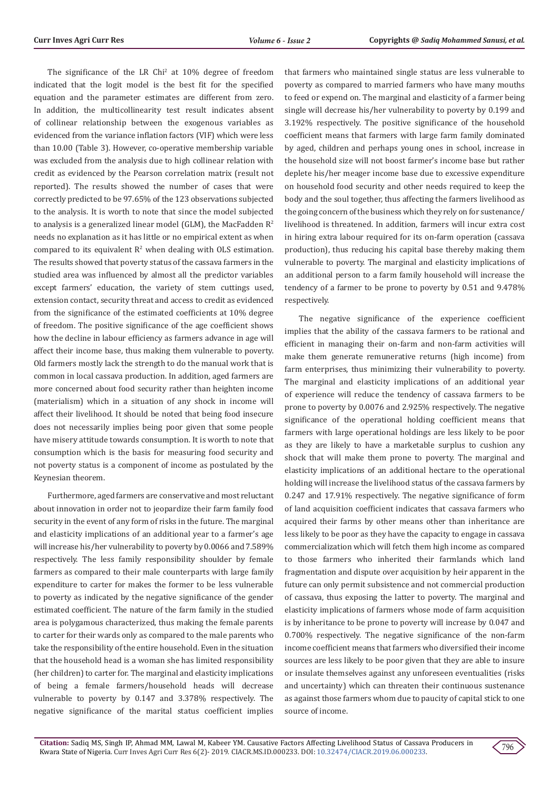The significance of the LR Chi<sup>2</sup> at 10% degree of freedom indicated that the logit model is the best fit for the specified equation and the parameter estimates are different from zero. In addition, the multicollinearity test result indicates absent of collinear relationship between the exogenous variables as evidenced from the variance inflation factors (VIF) which were less than 10.00 (Table 3). However, co-operative membership variable was excluded from the analysis due to high collinear relation with credit as evidenced by the Pearson correlation matrix (result not reported). The results showed the number of cases that were correctly predicted to be 97.65% of the 123 observations subjected to the analysis. It is worth to note that since the model subjected to analysis is a generalized linear model (GLM), the MacFadden  $\mathbb{R}^2$ needs no explanation as it has little or no empirical extent as when compared to its equivalent  $R^2$  when dealing with OLS estimation. The results showed that poverty status of the cassava farmers in the studied area was influenced by almost all the predictor variables except farmers' education, the variety of stem cuttings used, extension contact, security threat and access to credit as evidenced from the significance of the estimated coefficients at 10% degree of freedom. The positive significance of the age coefficient shows how the decline in labour efficiency as farmers advance in age will affect their income base, thus making them vulnerable to poverty. Old farmers mostly lack the strength to do the manual work that is common in local cassava production. In addition, aged farmers are more concerned about food security rather than heighten income (materialism) which in a situation of any shock in income will affect their livelihood. It should be noted that being food insecure does not necessarily implies being poor given that some people have misery attitude towards consumption. It is worth to note that consumption which is the basis for measuring food security and not poverty status is a component of income as postulated by the Keynesian theorem.

Furthermore, aged farmers are conservative and most reluctant about innovation in order not to jeopardize their farm family food security in the event of any form of risks in the future. The marginal and elasticity implications of an additional year to a farmer's age will increase his/her vulnerability to poverty by 0.0066 and 7.589% respectively. The less family responsibility shoulder by female farmers as compared to their male counterparts with large family expenditure to carter for makes the former to be less vulnerable to poverty as indicated by the negative significance of the gender estimated coefficient. The nature of the farm family in the studied area is polygamous characterized, thus making the female parents to carter for their wards only as compared to the male parents who take the responsibility of the entire household. Even in the situation that the household head is a woman she has limited responsibility (her children) to carter for. The marginal and elasticity implications of being a female farmers/household heads will decrease vulnerable to poverty by 0.147 and 3.378% respectively. The negative significance of the marital status coefficient implies

that farmers who maintained single status are less vulnerable to poverty as compared to married farmers who have many mouths to feed or expend on. The marginal and elasticity of a farmer being single will decrease his/her vulnerability to poverty by 0.199 and 3.192% respectively. The positive significance of the household coefficient means that farmers with large farm family dominated by aged, children and perhaps young ones in school, increase in the household size will not boost farmer's income base but rather deplete his/her meager income base due to excessive expenditure on household food security and other needs required to keep the body and the soul together, thus affecting the farmers livelihood as the going concern of the business which they rely on for sustenance/ livelihood is threatened. In addition, farmers will incur extra cost in hiring extra labour required for its on-farm operation (cassava production), thus reducing his capital base thereby making them vulnerable to poverty. The marginal and elasticity implications of an additional person to a farm family household will increase the tendency of a farmer to be prone to poverty by 0.51 and 9.478% respectively.

The negative significance of the experience coefficient implies that the ability of the cassava farmers to be rational and efficient in managing their on-farm and non-farm activities will make them generate remunerative returns (high income) from farm enterprises, thus minimizing their vulnerability to poverty. The marginal and elasticity implications of an additional year of experience will reduce the tendency of cassava farmers to be prone to poverty by 0.0076 and 2.925% respectively. The negative significance of the operational holding coefficient means that farmers with large operational holdings are less likely to be poor as they are likely to have a marketable surplus to cushion any shock that will make them prone to poverty. The marginal and elasticity implications of an additional hectare to the operational holding will increase the livelihood status of the cassava farmers by 0.247 and 17.91% respectively. The negative significance of form of land acquisition coefficient indicates that cassava farmers who acquired their farms by other means other than inheritance are less likely to be poor as they have the capacity to engage in cassava commercialization which will fetch them high income as compared to those farmers who inherited their farmlands which land fragmentation and dispute over acquisition by heir apparent in the future can only permit subsistence and not commercial production of cassava, thus exposing the latter to poverty. The marginal and elasticity implications of farmers whose mode of farm acquisition is by inheritance to be prone to poverty will increase by 0.047 and 0.700% respectively. The negative significance of the non-farm income coefficient means that farmers who diversified their income sources are less likely to be poor given that they are able to insure or insulate themselves against any unforeseen eventualities (risks and uncertainty) which can threaten their continuous sustenance as against those farmers whom due to paucity of capital stick to one source of income.

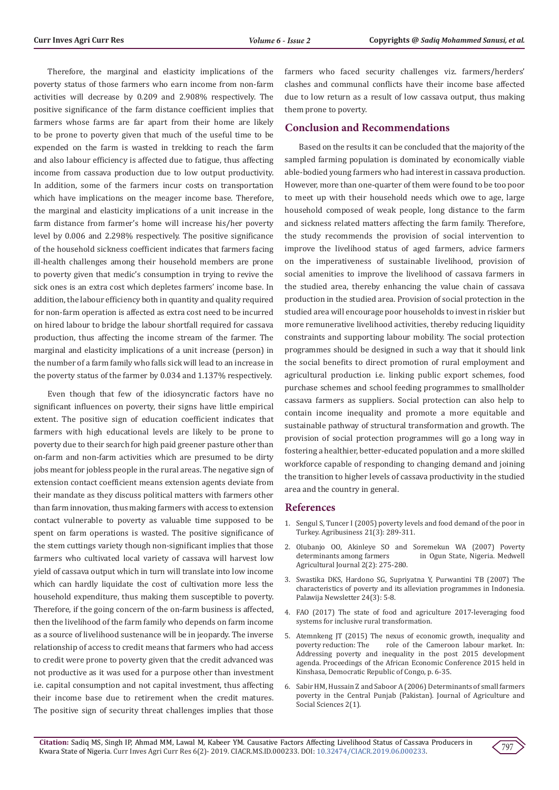Therefore, the marginal and elasticity implications of the poverty status of those farmers who earn income from non-farm activities will decrease by 0.209 and 2.908% respectively. The positive significance of the farm distance coefficient implies that farmers whose farms are far apart from their home are likely to be prone to poverty given that much of the useful time to be expended on the farm is wasted in trekking to reach the farm and also labour efficiency is affected due to fatigue, thus affecting income from cassava production due to low output productivity. In addition, some of the farmers incur costs on transportation which have implications on the meager income base. Therefore, the marginal and elasticity implications of a unit increase in the farm distance from farmer's home will increase his/her poverty level by 0.006 and 2.298% respectively. The positive significance of the household sickness coefficient indicates that farmers facing ill-health challenges among their household members are prone to poverty given that medic's consumption in trying to revive the sick ones is an extra cost which depletes farmers' income base. In addition, the labour efficiency both in quantity and quality required for non-farm operation is affected as extra cost need to be incurred on hired labour to bridge the labour shortfall required for cassava production, thus affecting the income stream of the farmer. The marginal and elasticity implications of a unit increase (person) in the number of a farm family who falls sick will lead to an increase in the poverty status of the farmer by 0.034 and 1.137% respectively.

Even though that few of the idiosyncratic factors have no significant influences on poverty, their signs have little empirical extent. The positive sign of education coefficient indicates that farmers with high educational levels are likely to be prone to poverty due to their search for high paid greener pasture other than on-farm and non-farm activities which are presumed to be dirty jobs meant for jobless people in the rural areas. The negative sign of extension contact coefficient means extension agents deviate from their mandate as they discuss political matters with farmers other than farm innovation, thus making farmers with access to extension contact vulnerable to poverty as valuable time supposed to be spent on farm operations is wasted. The positive significance of the stem cuttings variety though non-significant implies that those farmers who cultivated local variety of cassava will harvest low yield of cassava output which in turn will translate into low income which can hardly liquidate the cost of cultivation more less the household expenditure, thus making them susceptible to poverty. Therefore, if the going concern of the on-farm business is affected, then the livelihood of the farm family who depends on farm income as a source of livelihood sustenance will be in jeopardy. The inverse relationship of access to credit means that farmers who had access to credit were prone to poverty given that the credit advanced was not productive as it was used for a purpose other than investment i.e. capital consumption and not capital investment, thus affecting their income base due to retirement when the credit matures. The positive sign of security threat challenges implies that those farmers who faced security challenges viz. farmers/herders' clashes and communal conflicts have their income base affected due to low return as a result of low cassava output, thus making them prone to poverty.

# **Conclusion and Recommendations**

Based on the results it can be concluded that the majority of the sampled farming population is dominated by economically viable able-bodied young farmers who had interest in cassava production. However, more than one-quarter of them were found to be too poor to meet up with their household needs which owe to age, large household composed of weak people, long distance to the farm and sickness related matters affecting the farm family. Therefore, the study recommends the provision of social intervention to improve the livelihood status of aged farmers, advice farmers on the imperativeness of sustainable livelihood, provision of social amenities to improve the livelihood of cassava farmers in the studied area, thereby enhancing the value chain of cassava production in the studied area. Provision of social protection in the studied area will encourage poor households to invest in riskier but more remunerative livelihood activities, thereby reducing liquidity constraints and supporting labour mobility. The social protection programmes should be designed in such a way that it should link the social benefits to direct promotion of rural employment and agricultural production i.e. linking public export schemes, food purchase schemes and school feeding programmes to smallholder cassava farmers as suppliers. Social protection can also help to contain income inequality and promote a more equitable and sustainable pathway of structural transformation and growth. The provision of social protection programmes will go a long way in fostering a healthier, better-educated population and a more skilled workforce capable of responding to changing demand and joining the transition to higher levels of cassava productivity in the studied area and the country in general.

### **References**

- 1. [Sengul S, Tuncer I \(2005\) poverty levels and food demand of the poor in](https://www.researchgate.net/publication/227815998_Poverty_levels_and_food_demand_of_the_poor_in_Turkey) [Turkey. Agribusiness 21\(3\): 289-311.](https://www.researchgate.net/publication/227815998_Poverty_levels_and_food_demand_of_the_poor_in_Turkey)
- 2. Olubanjo OO, Akinleye SO and Soremekun WA (2007) Poverty in Ogun State, Nigeria. Medwell Agricultural Journal 2(2): 275-280.
- 3. Swastika DKS, Hardono SG, Supriyatna Y, Purwantini TB (2007) The characteristics of poverty and its alleviation programmes in Indonesia. Palawija Newsletter 24(3): 5-8.
- 4. [FAO \(2017\) The state of food and agriculture 2017-leveraging food](http://www.fao.org/3/a-i7658e.pdf) [systems for inclusive rural transformation.](http://www.fao.org/3/a-i7658e.pdf)
- 5. Atemnkeng JT (2015) The nexus of economic growth, inequality and noverty reduction: The role of the Cameroon Jahour market. In: role of the Cameroon labour market. In: Addressing poverty and inequality in the post 2015 development agenda. Proceedings of the African Economic Conference 2015 held in Kinshasa, Democratic Republic of Congo, p. 6-35.
- 6. [Sabir HM, Hussain Z and Saboor A \(2006\) Determinants of small farmers](http://www.fspublishers.org/published_papers/96458_..pdf) [poverty in the Central Punjab \(Pakistan\). Journal of Agriculture and](http://www.fspublishers.org/published_papers/96458_..pdf) [Social Sciences 2\(1\).](http://www.fspublishers.org/published_papers/96458_..pdf)